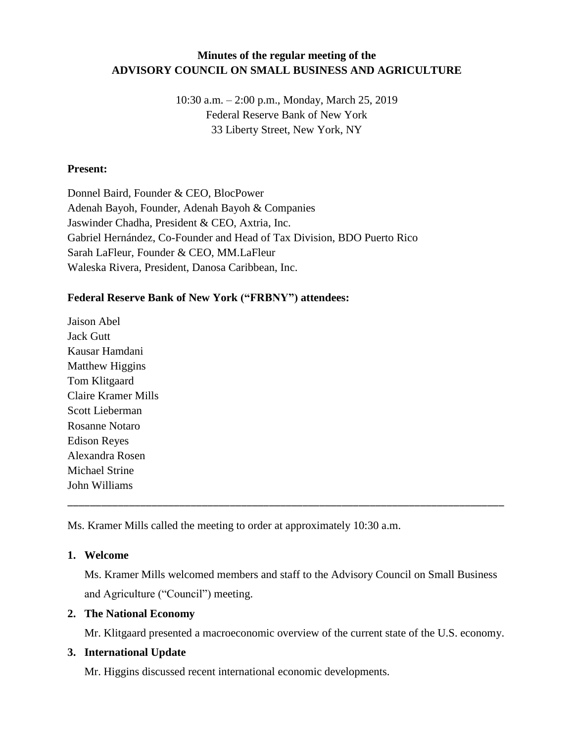## **Minutes of the regular meeting of the ADVISORY COUNCIL ON SMALL BUSINESS AND AGRICULTURE**

10:30 a.m. – 2:00 p.m., Monday, March 25, 2019 Federal Reserve Bank of New York 33 Liberty Street, New York, NY

#### **Present:**

Donnel Baird, Founder & CEO, BlocPower Adenah Bayoh, Founder, Adenah Bayoh & Companies Jaswinder Chadha, President & CEO, Axtria, Inc. Gabriel Hernández, Co-Founder and Head of Tax Division, BDO Puerto Rico Sarah LaFleur, Founder & CEO, MM.LaFleur Waleska Rivera, President, Danosa Caribbean, Inc.

# **Federal Reserve Bank of New York ("FRBNY") attendees:**

Jaison Abel Jack Gutt Kausar Hamdani Matthew Higgins Tom Klitgaard Claire Kramer Mills Scott Lieberman Rosanne Notaro Edison Reyes Alexandra Rosen Michael Strine John Williams

Ms. Kramer Mills called the meeting to order at approximately 10:30 a.m.

## **1. Welcome**

Ms. Kramer Mills welcomed members and staff to the Advisory Council on Small Business and Agriculture ("Council") meeting.

\_\_\_\_\_\_\_\_\_\_\_\_\_\_\_\_\_\_\_\_\_\_\_\_\_\_\_\_\_\_\_\_\_\_\_\_\_\_\_\_\_\_\_\_\_\_\_\_\_\_\_\_\_\_\_\_\_\_\_\_\_\_\_\_\_\_\_\_\_\_\_\_\_\_\_\_\_\_

## **2. The National Economy**

Mr. Klitgaard presented a macroeconomic overview of the current state of the U.S. economy.

## **3. International Update**

Mr. Higgins discussed recent international economic developments.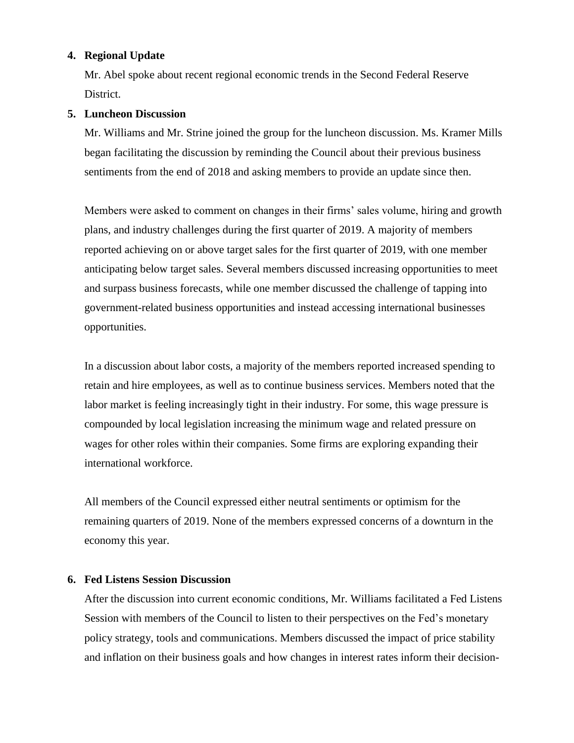#### **4. Regional Update**

Mr. Abel spoke about recent regional economic trends in the Second Federal Reserve District.

#### **5. Luncheon Discussion**

Mr. Williams and Mr. Strine joined the group for the luncheon discussion. Ms. Kramer Mills began facilitating the discussion by reminding the Council about their previous business sentiments from the end of 2018 and asking members to provide an update since then.

Members were asked to comment on changes in their firms' sales volume, hiring and growth plans, and industry challenges during the first quarter of 2019. A majority of members reported achieving on or above target sales for the first quarter of 2019, with one member anticipating below target sales. Several members discussed increasing opportunities to meet and surpass business forecasts, while one member discussed the challenge of tapping into government-related business opportunities and instead accessing international businesses opportunities.

In a discussion about labor costs, a majority of the members reported increased spending to retain and hire employees, as well as to continue business services. Members noted that the labor market is feeling increasingly tight in their industry. For some, this wage pressure is compounded by local legislation increasing the minimum wage and related pressure on wages for other roles within their companies. Some firms are exploring expanding their international workforce.

All members of the Council expressed either neutral sentiments or optimism for the remaining quarters of 2019. None of the members expressed concerns of a downturn in the economy this year.

#### **6. Fed Listens Session Discussion**

After the discussion into current economic conditions, Mr. Williams facilitated a Fed Listens Session with members of the Council to listen to their perspectives on the Fed's monetary policy strategy, tools and communications. Members discussed the impact of price stability and inflation on their business goals and how changes in interest rates inform their decision